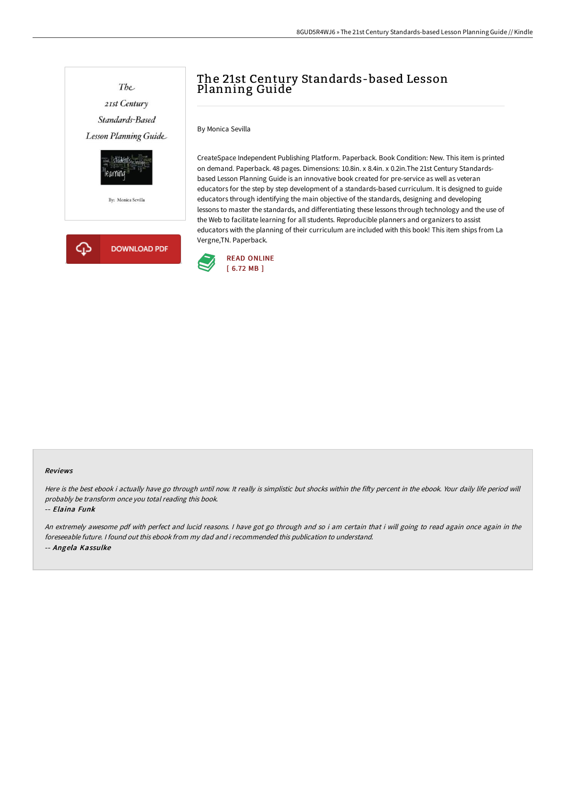

# The 21st Century Standards-based Lesson Planning Guide

By Monica Sevilla

CreateSpace Independent Publishing Platform. Paperback. Book Condition: New. This item is printed on demand. Paperback. 48 pages. Dimensions: 10.8in. x 8.4in. x 0.2in.The 21st Century Standardsbased Lesson Planning Guide is an innovative book created for pre-service as well as veteran educators for the step by step development of a standards-based curriculum. It is designed to guide educators through identifying the main objective of the standards, designing and developing lessons to master the standards, and differentiating these lessons through technology and the use of the Web to facilitate learning for all students. Reproducible planners and organizers to assist educators with the planning of their curriculum are included with this book! This item ships from La Vergne,TN. Paperback.



### Reviews

Here is the best ebook i actually have go through until now. It really is simplistic but shocks within the fifty percent in the ebook. Your daily life period will probably be transform once you total reading this book.

#### -- Elaina Funk

An extremely awesome pdf with perfect and lucid reasons. <sup>I</sup> have got go through and so i am certain that i will going to read again once again in the foreseeable future. I found out this ebook from my dad and i recommended this publication to understand. -- Angela Kassulke